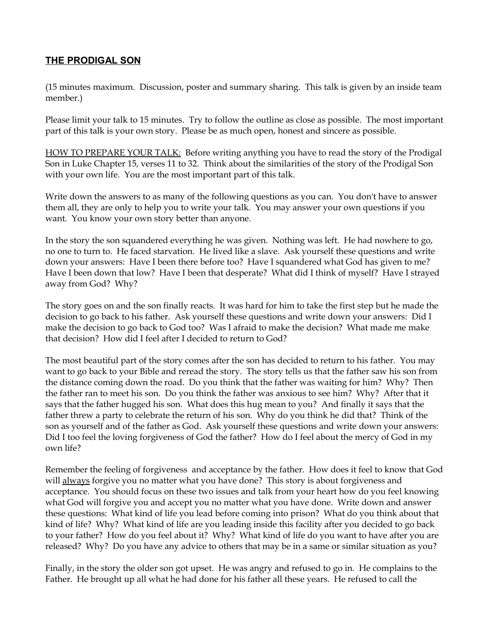## **THE PRODIGAL SON**

(15 minutes maximum. Discussion, poster and summary sharing. This talk is given by an inside team member.)

Please limit your talk to 15 minutes. Try to follow the outline as close as possible. The most important part of this talk is your own story. Please be as much open, honest and sincere as possible.

HOW TO PREPARE YOUR TALK: Before writing anything you have to read the story of the Prodigal Son in Luke Chapter 15, verses 11 to 32. Think about the similarities of the story of the Prodigal Son with your own life. You are the most important part of this talk.

Write down the answers to as many of the following questions as you can. You don't have to answer them all, they are only to help you to write your talk. You may answer your own questions if you want. You know your own story better than anyone.

In the story the son squandered everything he was given. Nothing was left. He had nowhere to go, no one to turn to. He faced starvation. He lived like a slave. Ask yourself these questions and write down your answers: Have I been there before too? Have I squandered what God has given to me? Have I been down that low? Have I been that desperate? What did I think of myself? Have I strayed away from God? Why?

The story goes on and the son finally reacts. It was hard for him to take the first step but he made the decision to go back to his father. Ask yourself these questions and write down your answers: Did I make the decision to go back to God too? Was I afraid to make the decision? What made me make that decision? How did I feel after I decided to return to God?

The most beautiful part of the story comes after the son has decided to return to his father. You may want to go back to your Bible and reread the story. The story tells us that the father saw his son from the distance coming down the road. Do you think that the father was waiting for him? Why? Then the father ran to meet his son. Do you think the father was anxious to see him? Why? After that it says that the father hugged his son. What does this hug mean to you? And finally it says that the father threw a party to celebrate the return of his son. Why do you think he did that? Think of the son as yourself and of the father as God. Ask yourself these questions and write down your answers: Did I too feel the loving forgiveness of God the father? How do I feel about the mercy of God in my own life?

Remember the feeling of forgiveness and acceptance by the father. How does it feel to know that God will always forgive you no matter what you have done? This story is about forgiveness and acceptance. You should focus on these two issues and talk from your heart how do you feel knowing what God will forgive you and accept you no matter what you have done. Write down and answer these questions: What kind of life you lead before coming into prison? What do you think about that kind of life? Why? What kind of life are you leading inside this facility after you decided to go back to your father? How do you feel about it? Why? What kind of life do you want to have after you are released? Why? Do you have any advice to others that may be in a same or similar situation as you?

Finally, in the story the older son got upset. He was angry and refused to go in. He complains to the Father. He brought up all what he had done for his father all these years. He refused to call the